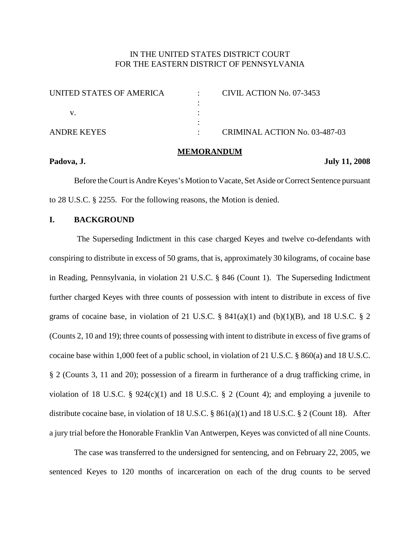# IN THE UNITED STATES DISTRICT COURT FOR THE EASTERN DISTRICT OF PENNSYLVANIA

| UNITED STATES OF AMERICA | CIVIL ACTION No. 07-3453      |
|--------------------------|-------------------------------|
|                          |                               |
|                          |                               |
|                          |                               |
| ANDRE KEYES              | CRIMINAL ACTION No. 03-487-03 |

#### **MEMORANDUM**

**Padova, J. July 11, 2008**

Before the Court is Andre Keyes's Motion to Vacate, Set Aside or Correct Sentence pursuant to 28 U.S.C. § 2255. For the following reasons, the Motion is denied.

## **I. BACKGROUND**

The Superseding Indictment in this case charged Keyes and twelve co-defendants with conspiring to distribute in excess of 50 grams, that is, approximately 30 kilograms, of cocaine base in Reading, Pennsylvania, in violation 21 U.S.C. § 846 (Count 1). The Superseding Indictment further charged Keyes with three counts of possession with intent to distribute in excess of five grams of cocaine base, in violation of 21 U.S.C.  $\S$  841(a)(1) and (b)(1)(B), and 18 U.S.C.  $\S$  2 (Counts 2, 10 and 19); three counts of possessing with intent to distribute in excess of five grams of cocaine base within 1,000 feet of a public school, in violation of 21 U.S.C. § 860(a) and 18 U.S.C. § 2 (Counts 3, 11 and 20); possession of a firearm in furtherance of a drug trafficking crime, in violation of 18 U.S.C. §  $924(c)(1)$  and 18 U.S.C. § 2 (Count 4); and employing a juvenile to distribute cocaine base, in violation of 18 U.S.C. § 861(a)(1) and 18 U.S.C. § 2 (Count 18). After a jury trial before the Honorable Franklin Van Antwerpen, Keyes was convicted of all nine Counts.

The case was transferred to the undersigned for sentencing, and on February 22, 2005, we sentenced Keyes to 120 months of incarceration on each of the drug counts to be served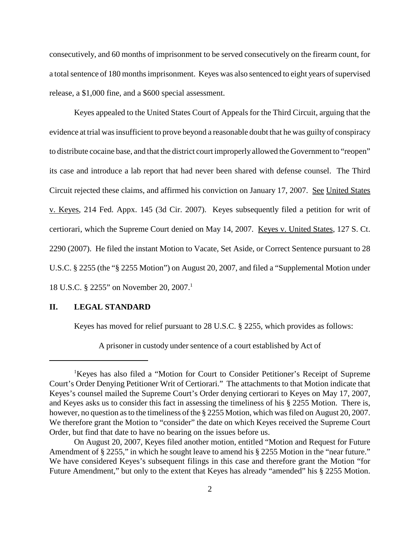consecutively, and 60 months of imprisonment to be served consecutively on the firearm count, for a total sentence of 180 months imprisonment. Keyes was also sentenced to eight years of supervised release, a \$1,000 fine, and a \$600 special assessment.

Keyes appealed to the United States Court of Appeals for the Third Circuit, arguing that the evidence at trial wasinsufficient to prove beyond a reasonable doubt that he was guilty of conspiracy to distribute cocaine base, and that the district court improperly allowed the Government to "reopen" its case and introduce a lab report that had never been shared with defense counsel. The Third Circuit rejected these claims, and affirmed his conviction on January 17, 2007. See United States v. Keyes, 214 Fed. Appx. 145 (3d Cir. 2007). Keyes subsequently filed a petition for writ of certiorari, which the Supreme Court denied on May 14, 2007. Keyes v. United States, 127 S. Ct. 2290 (2007). He filed the instant Motion to Vacate, Set Aside, or Correct Sentence pursuant to 28 U.S.C. § 2255 (the "§ 2255 Motion") on August 20, 2007, and filed a "Supplemental Motion under 18 U.S.C. § 2255" on November 20, 2007. 1

## **II. LEGAL STANDARD**

Keyes has moved for relief pursuant to 28 U.S.C. § 2255, which provides as follows:

A prisoner in custody under sentence of a court established by Act of

<sup>&</sup>lt;sup>1</sup>Keyes has also filed a "Motion for Court to Consider Petitioner's Receipt of Supreme Court's Order Denying Petitioner Writ of Certiorari." The attachments to that Motion indicate that Keyes's counsel mailed the Supreme Court's Order denying certiorari to Keyes on May 17, 2007, and Keyes asks us to consider this fact in assessing the timeliness of his § 2255 Motion. There is, however, no question as to the timeliness of the § 2255 Motion, which was filed on August 20, 2007. We therefore grant the Motion to "consider" the date on which Keyes received the Supreme Court Order, but find that date to have no bearing on the issues before us.

On August 20, 2007, Keyes filed another motion, entitled "Motion and Request for Future Amendment of § 2255," in which he sought leave to amend his § 2255 Motion in the "near future." We have considered Keyes's subsequent filings in this case and therefore grant the Motion "for Future Amendment," but only to the extent that Keyes has already "amended" his § 2255 Motion.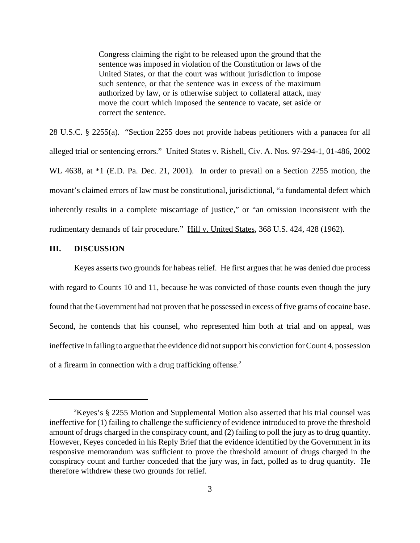Congress claiming the right to be released upon the ground that the sentence was imposed in violation of the Constitution or laws of the United States, or that the court was without jurisdiction to impose such sentence, or that the sentence was in excess of the maximum authorized by law, or is otherwise subject to collateral attack, may move the court which imposed the sentence to vacate, set aside or correct the sentence.

28 U.S.C. § 2255(a). "Section 2255 does not provide habeas petitioners with a panacea for all alleged trial or sentencing errors." United States v. Rishell, Civ. A. Nos. 97-294-1, 01-486, 2002 WL 4638, at \*1 (E.D. Pa. Dec. 21, 2001). In order to prevail on a Section 2255 motion, the movant's claimed errors of law must be constitutional, jurisdictional, "a fundamental defect which inherently results in a complete miscarriage of justice," or "an omission inconsistent with the rudimentary demands of fair procedure." Hill v. United States, 368 U.S. 424, 428 (1962).

## **III. DISCUSSION**

Keyes asserts two grounds for habeas relief. He first argues that he was denied due process with regard to Counts 10 and 11, because he was convicted of those counts even though the jury found that the Government had not proven that he possessed in excess of five grams of cocaine base. Second, he contends that his counsel, who represented him both at trial and on appeal, was ineffective in failing to argue that the evidence did not support his conviction for Count 4, possession of a firearm in connection with a drug trafficking offense. 2

 $2$ Keyes's § 2255 Motion and Supplemental Motion also asserted that his trial counsel was ineffective for (1) failing to challenge the sufficiency of evidence introduced to prove the threshold amount of drugs charged in the conspiracy count, and (2) failing to poll the jury as to drug quantity. However, Keyes conceded in his Reply Brief that the evidence identified by the Government in its responsive memorandum was sufficient to prove the threshold amount of drugs charged in the conspiracy count and further conceded that the jury was, in fact, polled as to drug quantity. He therefore withdrew these two grounds for relief.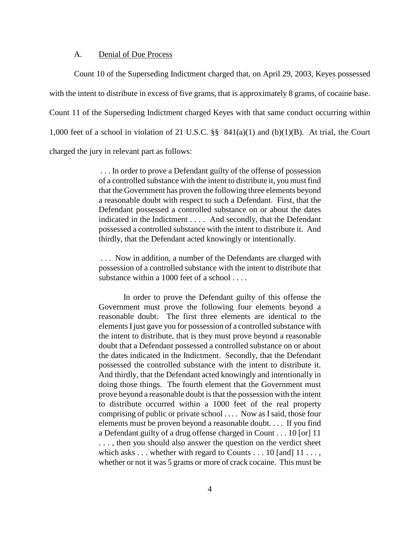## A. Denial of Due Process

Count 10 of the Superseding Indictment charged that, on April 29, 2003, Keyes possessed with the intent to distribute in excess of five grams, that is approximately 8 grams, of cocaine base. Count 11 of the Superseding Indictment charged Keyes with that same conduct occurring within 1,000 feet of a school in violation of 21 U.S.C. §§ 841(a)(1) and (b)(1)(B). At trial, the Court charged the jury in relevant part as follows:

> . . . In order to prove a Defendant guilty of the offense of possession of a controlled substance with the intent to distribute it, you must find that the Government has proven the following three elements beyond a reasonable doubt with respect to such a Defendant. First, that the Defendant possessed a controlled substance on or about the dates indicated in the Indictment . . . . And secondly, that the Defendant possessed a controlled substance with the intent to distribute it. And thirdly, that the Defendant acted knowingly or intentionally.

> . . . Now in addition, a number of the Defendants are charged with possession of a controlled substance with the intent to distribute that substance within a 1000 feet of a school . . . .

> In order to prove the Defendant guilty of this offense the Government must prove the following four elements beyond a reasonable doubt. The first three elements are identical to the elements I just gave you for possession of a controlled substance with the intent to distribute, that is they must prove beyond a reasonable doubt that a Defendant possessed a controlled substance on or about the dates indicated in the Indictment. Secondly, that the Defendant possessed the controlled substance with the intent to distribute it. And thirdly, that the Defendant acted knowingly and intentionally in doing those things. The fourth element that the Government must prove beyond a reasonable doubt is that the possession with the intent to distribute occurred within a 1000 feet of the real property comprising of public or private school . . . . Now as Isaid, those four elements must be proven beyond a reasonable doubt. . . . If you find a Defendant guilty of a drug offense charged in Count . . . 10 [or] 11 . . . , then you should also answer the question on the verdict sheet which asks . . . whether with regard to Counts . . . 10 [and] 11 . . . , whether or not it was 5 grams or more of crack cocaine. This must be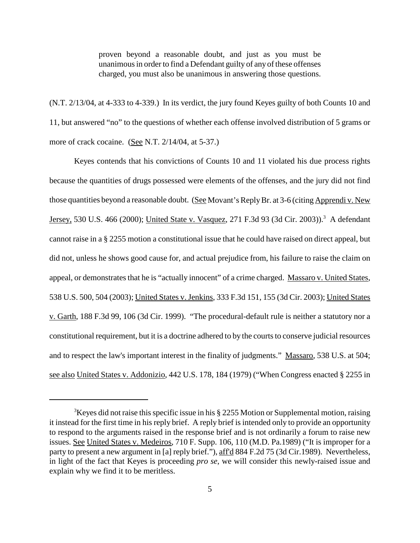proven beyond a reasonable doubt, and just as you must be unanimous in order to find a Defendant guilty of any of these offenses charged, you must also be unanimous in answering those questions.

(N.T. 2/13/04, at 4-333 to 4-339.) In its verdict, the jury found Keyes guilty of both Counts 10 and 11, but answered "no" to the questions of whether each offense involved distribution of 5 grams or more of crack cocaine. (See N.T. 2/14/04, at 5-37.)

Keyes contends that his convictions of Counts 10 and 11 violated his due process rights because the quantities of drugs possessed were elements of the offenses, and the jury did not find those quantities beyond a reasonable doubt. (See Movant's Reply Br. at 3-6 (citing Apprendi v. New Jersey, 530 U.S. 466 (2000); <u>United State v. Vasquez</u>, 271 F.3d 93 (3d Cir. 2003)).<sup>3</sup> A defendant cannot raise in a § 2255 motion a constitutional issue that he could have raised on direct appeal, but did not, unless he shows good cause for, and actual prejudice from, his failure to raise the claim on appeal, or demonstrates that he is "actually innocent" of a crime charged. Massaro v. United States, 538 U.S. 500, 504 (2003); United States v. Jenkins, 333 F.3d 151, 155 (3d Cir. 2003); United States v. Garth, 188 F.3d 99, 106 (3d Cir. 1999). "The procedural-default rule is neither a statutory nor a constitutional requirement, but it is a doctrine adhered to by the courts to conserve judicial resources and to respect the law's important interest in the finality of judgments." Massaro, 538 U.S. at 504; see also United States v. Addonizio, 442 U.S. 178, 184 (1979) ("When Congress enacted § 2255 in

 ${}^{3}$ Keyes did not raise this specific issue in his § 2255 Motion or Supplemental motion, raising it instead for the first time in his reply brief. A reply brief is intended only to provide an opportunity to respond to the arguments raised in the response brief and is not ordinarily a forum to raise new issues. See United States v. Medeiros, 710 F. Supp. 106, 110 (M.D. Pa.1989) ("It is improper for a party to present a new argument in [a] reply brief."), aff'd 884 F.2d 75 (3d Cir.1989). Nevertheless, in light of the fact that Keyes is proceeding *pro se*, we will consider this newly-raised issue and explain why we find it to be meritless.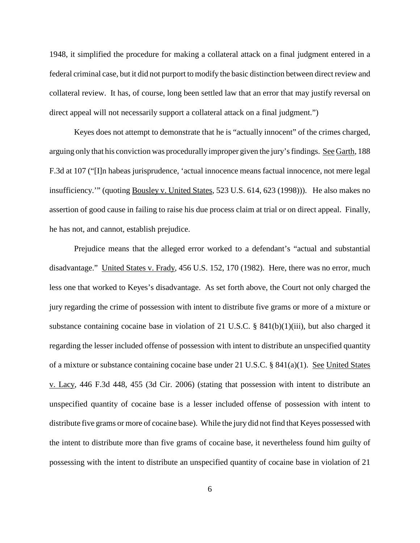1948, it simplified the procedure for making a collateral attack on a final judgment entered in a federal criminal case, but it did not purport to modify the basic distinction between direct review and collateral review. It has, of course, long been settled law that an error that may justify reversal on direct appeal will not necessarily support a collateral attack on a final judgment.")

Keyes does not attempt to demonstrate that he is "actually innocent" of the crimes charged, arguing only that his conviction was procedurally improper given the jury'sfindings. See Garth, 188 F.3d at 107 ("[I]n habeas jurisprudence, 'actual innocence means factual innocence, not mere legal insufficiency.'" (quoting Bousley v. United States, 523 U.S. 614, 623 (1998))). He also makes no assertion of good cause in failing to raise his due process claim at trial or on direct appeal. Finally, he has not, and cannot, establish prejudice.

Prejudice means that the alleged error worked to a defendant's "actual and substantial disadvantage." United States v. Frady, 456 U.S. 152, 170 (1982). Here, there was no error, much less one that worked to Keyes's disadvantage. As set forth above, the Court not only charged the jury regarding the crime of possession with intent to distribute five grams or more of a mixture or substance containing cocaine base in violation of 21 U.S.C. § 841(b)(1)(iii), but also charged it regarding the lesser included offense of possession with intent to distribute an unspecified quantity of a mixture or substance containing cocaine base under 21 U.S.C. § 841(a)(1). See United States v. Lacy, 446 F.3d 448, 455 (3d Cir. 2006) (stating that possession with intent to distribute an unspecified quantity of cocaine base is a lesser included offense of possession with intent to distribute five grams or more of cocaine base). While the jury did not find that Keyes possessed with the intent to distribute more than five grams of cocaine base, it nevertheless found him guilty of possessing with the intent to distribute an unspecified quantity of cocaine base in violation of 21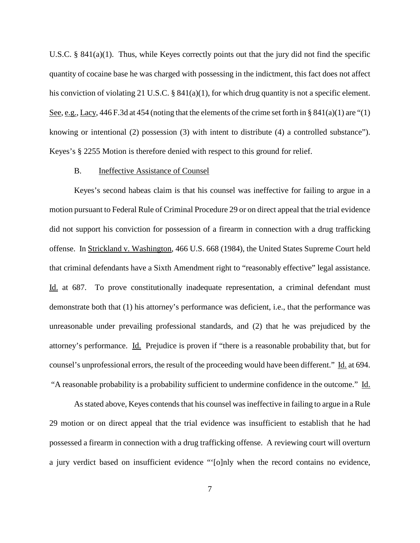U.S.C. § 841(a)(1). Thus, while Keyes correctly points out that the jury did not find the specific quantity of cocaine base he was charged with possessing in the indictment, this fact does not affect his conviction of violating 21 U.S.C. § 841(a)(1), for which drug quantity is not a specific element. See, e.g., Lacy, 446 F.3d at 454 (noting that the elements of the crime set forth in § 841(a)(1) are "(1) knowing or intentional (2) possession (3) with intent to distribute (4) a controlled substance"). Keyes's § 2255 Motion is therefore denied with respect to this ground for relief.

### B. Ineffective Assistance of Counsel

Keyes's second habeas claim is that his counsel was ineffective for failing to argue in a motion pursuant to Federal Rule of Criminal Procedure 29 or on direct appeal that the trial evidence did not support his conviction for possession of a firearm in connection with a drug trafficking offense. In Strickland v. Washington, 466 U.S. 668 (1984), the United States Supreme Court held that criminal defendants have a Sixth Amendment right to "reasonably effective" legal assistance. Id. at 687. To prove constitutionally inadequate representation, a criminal defendant must demonstrate both that (1) his attorney's performance was deficient, i.e., that the performance was unreasonable under prevailing professional standards, and (2) that he was prejudiced by the attorney's performance. Id. Prejudice is proven if "there is a reasonable probability that, but for counsel's unprofessional errors, the result of the proceeding would have been different." Id. at 694. "A reasonable probability is a probability sufficient to undermine confidence in the outcome." Id.

As stated above, Keyes contends that his counsel was ineffective in failing to argue in a Rule 29 motion or on direct appeal that the trial evidence was insufficient to establish that he had possessed a firearm in connection with a drug trafficking offense. A reviewing court will overturn a jury verdict based on insufficient evidence "'[o]nly when the record contains no evidence,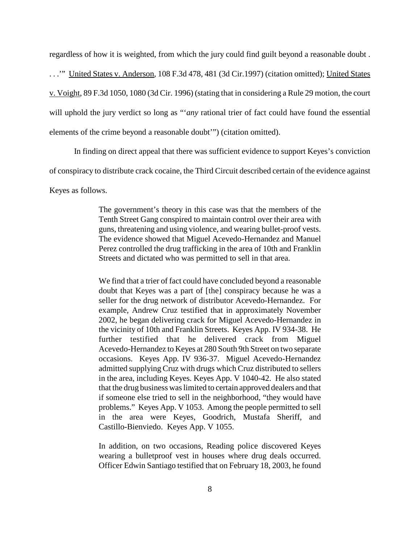regardless of how it is weighted, from which the jury could find guilt beyond a reasonable doubt . ..." United States v. Anderson, 108 F.3d 478, 481 (3d Cir.1997) (citation omitted); United States v. Voight, 89 F.3d 1050, 1080 (3d Cir. 1996) (stating that in considering a Rule 29 motion, the court will uphold the jury verdict so long as "'*any* rational trier of fact could have found the essential elements of the crime beyond a reasonable doubt'") (citation omitted).

In finding on direct appeal that there was sufficient evidence to support Keyes's conviction

of conspiracy to distribute crack cocaine, the Third Circuit described certain of the evidence against

Keyes as follows.

The government's theory in this case was that the members of the Tenth Street Gang conspired to maintain control over their area with guns, threatening and using violence, and wearing bullet-proof vests. The evidence showed that Miguel Acevedo-Hernandez and Manuel Perez controlled the drug trafficking in the area of 10th and Franklin Streets and dictated who was permitted to sell in that area.

We find that a trier of fact could have concluded beyond a reasonable doubt that Keyes was a part of [the] conspiracy because he was a seller for the drug network of distributor Acevedo-Hernandez. For example, Andrew Cruz testified that in approximately November 2002, he began delivering crack for Miguel Acevedo-Hernandez in the vicinity of 10th and Franklin Streets. Keyes App. IV 934-38. He further testified that he delivered crack from Miguel Acevedo-Hernandez to Keyes at 280 South 9th Street on two separate occasions. Keyes App. IV 936-37. Miguel Acevedo-Hernandez admitted supplying Cruz with drugs which Cruz distributed to sellers in the area, including Keyes. Keyes App. V 1040-42. He also stated that the drug business waslimited to certain approved dealers and that if someone else tried to sell in the neighborhood, "they would have problems." Keyes App. V 1053. Among the people permitted to sell in the area were Keyes, Goodrich, Mustafa Sheriff, and Castillo-Bienviedo. Keyes App. V 1055.

In addition, on two occasions, Reading police discovered Keyes wearing a bulletproof vest in houses where drug deals occurred. Officer Edwin Santiago testified that on February 18, 2003, he found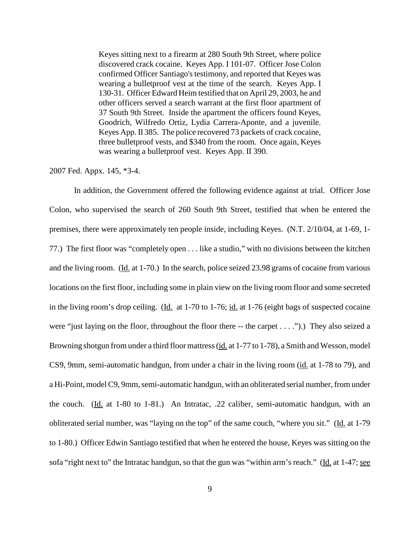Keyes sitting next to a firearm at 280 South 9th Street, where police discovered crack cocaine. Keyes App. I 101-07. Officer Jose Colon confirmed Officer Santiago's testimony, and reported that Keyes was wearing a bulletproof vest at the time of the search. Keyes App. I 130-31. Officer Edward Heim testified that on April 29, 2003, he and other officers served a search warrant at the first floor apartment of 37 South 9th Street. Inside the apartment the officers found Keyes, Goodrich, Wilfredo Ortiz, Lydia Carrera-Aponte, and a juvenile. Keyes App. II 385. The police recovered 73 packets of crack cocaine, three bulletproof vests, and \$340 from the room. Once again, Keyes was wearing a bulletproof vest. Keyes App. II 390.

#### 2007 Fed. Appx. 145, \*3-4.

In addition, the Government offered the following evidence against at trial. Officer Jose Colon, who supervised the search of 260 South 9th Street, testified that when he entered the premises, there were approximately ten people inside, including Keyes. (N.T. 2/10/04, at 1-69, 1- 77.) The first floor was "completely open . . . like a studio," with no divisions between the kitchen and the living room. (Id. at 1-70.) In the search, police seized 23.98 grams of cocaine from various locations on the first floor, including some in plain view on the living room floor and some secreted in the living room's drop ceiling. (Id. at 1-70 to 1-76; id. at 1-76 (eight bags of suspected cocaine were "just laying on the floor, throughout the floor there -- the carpet . . . .").) They also seized a Browning shotgun from under a third floor mattress (id. at 1-77 to 1-78), a Smith and Wesson, model CS9, 9mm, semi-automatic handgun, from under a chair in the living room (id. at 1-78 to 79), and a Hi-Point, model C9, 9mm, semi-automatic handgun, with an obliterated serial number, from under the couch. (Id. at 1-80 to 1-81.) An Intratac, .22 caliber, semi-automatic handgun, with an obliterated serial number, was "laying on the top" of the same couch, "where you sit." (Id. at 1-79 to 1-80.) Officer Edwin Santiago testified that when he entered the house, Keyes was sitting on the sofa "right next to" the Intratac handgun, so that the gun was "within arm's reach." (Id. at 1-47; see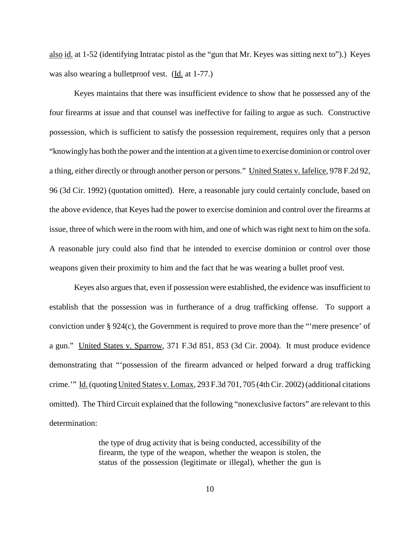also id. at 1-52 (identifying Intratac pistol as the "gun that Mr. Keyes was sitting next to").) Keyes was also wearing a bulletproof vest. (Id. at 1-77.)

Keyes maintains that there was insufficient evidence to show that he possessed any of the four firearms at issue and that counsel was ineffective for failing to argue as such. Constructive possession, which is sufficient to satisfy the possession requirement, requires only that a person "knowingly has both the power and the intention at a given time to exercise dominion or control over a thing, either directly or through another person or persons." United States v. Iafelice, 978 F.2d 92, 96 (3d Cir. 1992) (quotation omitted). Here, a reasonable jury could certainly conclude, based on the above evidence, that Keyes had the power to exercise dominion and control over the firearms at issue, three of which were in the room with him, and one of which was right next to him on the sofa. A reasonable jury could also find that he intended to exercise dominion or control over those weapons given their proximity to him and the fact that he was wearing a bullet proof vest.

Keyes also argues that, even if possession were established, the evidence was insufficient to establish that the possession was in furtherance of a drug trafficking offense. To support a conviction under § 924(c), the Government is required to prove more than the "'mere presence' of a gun." United States v. Sparrow, 371 F.3d 851, 853 (3d Cir. 2004). It must produce evidence demonstrating that "'possession of the firearm advanced or helped forward a drug trafficking crime." Id. (quoting United States v. Lomax, 293 F.3d 701, 705 (4th Cir. 2002) (additional citations omitted). The Third Circuit explained that the following "nonexclusive factors" are relevant to this determination:

> the type of drug activity that is being conducted, accessibility of the firearm, the type of the weapon, whether the weapon is stolen, the status of the possession (legitimate or illegal), whether the gun is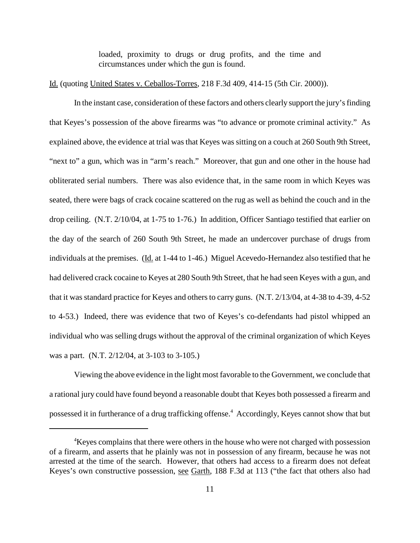loaded, proximity to drugs or drug profits, and the time and circumstances under which the gun is found.

#### Id. (quoting United States v. Ceballos-Torres, 218 F.3d 409, 414-15 (5th Cir. 2000)).

In the instant case, consideration of these factors and others clearly support the jury's finding that Keyes's possession of the above firearms was "to advance or promote criminal activity." As explained above, the evidence at trial was that Keyes was sitting on a couch at 260 South 9th Street, "next to" a gun, which was in "arm's reach." Moreover, that gun and one other in the house had obliterated serial numbers. There was also evidence that, in the same room in which Keyes was seated, there were bags of crack cocaine scattered on the rug as well as behind the couch and in the drop ceiling. (N.T. 2/10/04, at 1-75 to 1-76.) In addition, Officer Santiago testified that earlier on the day of the search of 260 South 9th Street, he made an undercover purchase of drugs from individuals at the premises. (Id. at 1-44 to 1-46.) Miguel Acevedo-Hernandez also testified that he had delivered crack cocaine to Keyes at 280 South 9th Street, that he had seen Keyes with a gun, and that it was standard practice for Keyes and others to carry guns. (N.T. 2/13/04, at 4-38 to 4-39, 4-52 to 4-53.) Indeed, there was evidence that two of Keyes's co-defendants had pistol whipped an individual who was selling drugs without the approval of the criminal organization of which Keyes was a part. (N.T. 2/12/04, at 3-103 to 3-105.)

Viewing the above evidence in the light most favorable to the Government, we conclude that a rational jury could have found beyond a reasonable doubt that Keyes both possessed a firearm and possessed it in furtherance of a drug trafficking offense. <sup>4</sup> Accordingly, Keyes cannot show that but

<sup>&</sup>lt;sup>4</sup>Keyes complains that there were others in the house who were not charged with possession of a firearm, and asserts that he plainly was not in possession of any firearm, because he was not arrested at the time of the search. However, that others had access to a firearm does not defeat Keyes's own constructive possession, see Garth, 188 F.3d at 113 ("the fact that others also had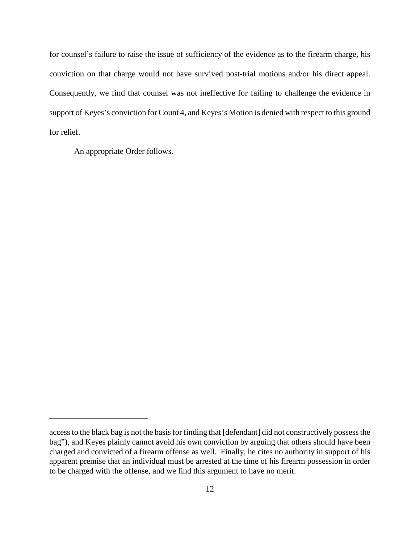for counsel's failure to raise the issue of sufficiency of the evidence as to the firearm charge, his conviction on that charge would not have survived post-trial motions and/or his direct appeal. Consequently, we find that counsel was not ineffective for failing to challenge the evidence in support of Keyes's conviction for Count 4, and Keyes's Motion is denied with respect to this ground for relief.

An appropriate Order follows.

access to the black bag is not the basis for finding that [defendant] did not constructively possess the bag"), and Keyes plainly cannot avoid his own conviction by arguing that others should have been charged and convicted of a firearm offense as well. Finally, he cites no authority in support of his apparent premise that an individual must be arrested at the time of his firearm possession in order to be charged with the offense, and we find this argument to have no merit.